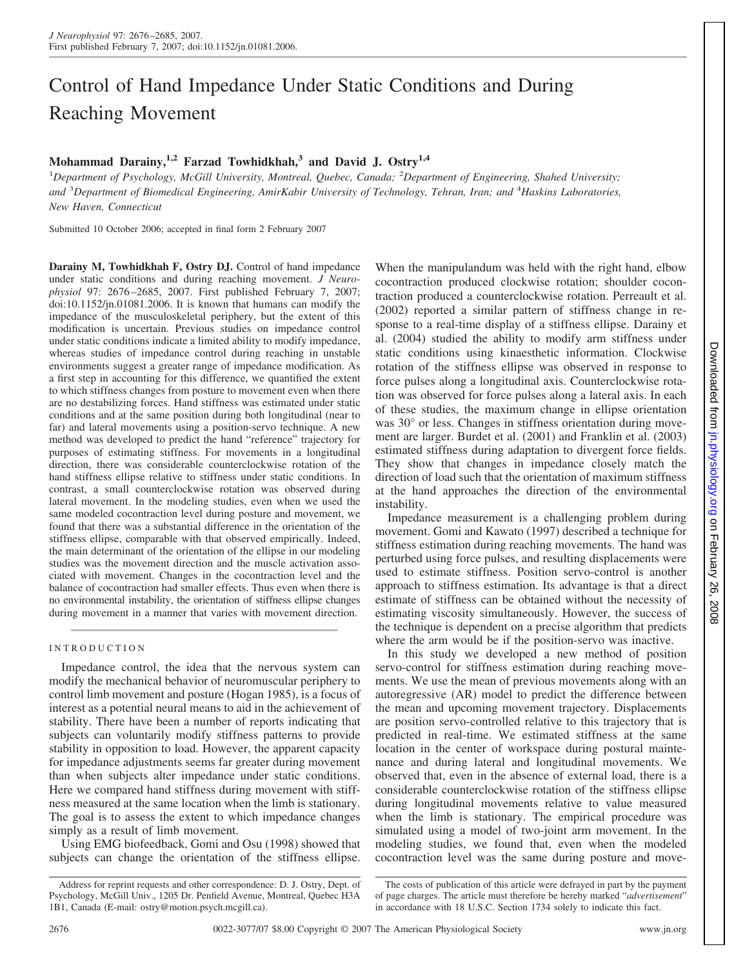# Control of Hand Impedance Under Static Conditions and During Reaching Movement

# **Mohammad Darainy,1,2 Farzad Towhidkhah,3 and David J. Ostry1,4**

<sup>1</sup>Department of Psychology, McGill University, Montreal, Quebec, Canada; <sup>2</sup>Department of Engineering, Shahed University; *and* <sup>3</sup> *Department of Biomedical Engineering, AmirKabir University of Technology, Tehran, Iran; and* <sup>4</sup> *Haskins Laboratories, New Haven, Connecticut*

Submitted 10 October 2006; accepted in final form 2 February 2007

**Darainy M, Towhidkhah F, Ostry DJ.** Control of hand impedance under static conditions and during reaching movement. *J Neurophysiol* 97: 2676 –2685, 2007. First published February 7, 2007; doi:10.1152/jn.01081.2006. It is known that humans can modify the impedance of the musculoskeletal periphery, but the extent of this modification is uncertain. Previous studies on impedance control under static conditions indicate a limited ability to modify impedance, whereas studies of impedance control during reaching in unstable environments suggest a greater range of impedance modification. As a first step in accounting for this difference, we quantified the extent to which stiffness changes from posture to movement even when there are no destabilizing forces. Hand stiffness was estimated under static conditions and at the same position during both longitudinal (near to far) and lateral movements using a position-servo technique. A new method was developed to predict the hand "reference" trajectory for purposes of estimating stiffness. For movements in a longitudinal direction, there was considerable counterclockwise rotation of the hand stiffness ellipse relative to stiffness under static conditions. In contrast, a small counterclockwise rotation was observed during lateral movement. In the modeling studies, even when we used the same modeled cocontraction level during posture and movement, we found that there was a substantial difference in the orientation of the stiffness ellipse, comparable with that observed empirically. Indeed, the main determinant of the orientation of the ellipse in our modeling studies was the movement direction and the muscle activation associated with movement. Changes in the cocontraction level and the balance of cocontraction had smaller effects. Thus even when there is no environmental instability, the orientation of stiffness ellipse changes during movement in a manner that varies with movement direction.

# INTRODUCTION

Impedance control, the idea that the nervous system can modify the mechanical behavior of neuromuscular periphery to control limb movement and posture (Hogan 1985), is a focus of interest as a potential neural means to aid in the achievement of stability. There have been a number of reports indicating that subjects can voluntarily modify stiffness patterns to provide stability in opposition to load. However, the apparent capacity for impedance adjustments seems far greater during movement than when subjects alter impedance under static conditions. Here we compared hand stiffness during movement with stiffness measured at the same location when the limb is stationary. The goal is to assess the extent to which impedance changes simply as a result of limb movement.

Using EMG biofeedback, Gomi and Osu (1998) showed that subjects can change the orientation of the stiffness ellipse.

When the manipulandum was held with the right hand, elbow cocontraction produced clockwise rotation; shoulder cocontraction produced a counterclockwise rotation. Perreault et al. (2002) reported a similar pattern of stiffness change in response to a real-time display of a stiffness ellipse. Darainy et al. (2004) studied the ability to modify arm stiffness under static conditions using kinaesthetic information. Clockwise rotation of the stiffness ellipse was observed in response to force pulses along a longitudinal axis. Counterclockwise rotation was observed for force pulses along a lateral axis. In each of these studies, the maximum change in ellipse orientation was 30° or less. Changes in stiffness orientation during movement are larger. Burdet et al. (2001) and Franklin et al. (2003) estimated stiffness during adaptation to divergent force fields. They show that changes in impedance closely match the direction of load such that the orientation of maximum stiffness at the hand approaches the direction of the environmental instability.

Impedance measurement is a challenging problem during movement. Gomi and Kawato (1997) described a technique for stiffness estimation during reaching movements. The hand was perturbed using force pulses, and resulting displacements were used to estimate stiffness. Position servo-control is another approach to stiffness estimation. Its advantage is that a direct estimate of stiffness can be obtained without the necessity of estimating viscosity simultaneously. However, the success of the technique is dependent on a precise algorithm that predicts where the arm would be if the position-servo was inactive.

In this study we developed a new method of position servo-control for stiffness estimation during reaching movements. We use the mean of previous movements along with an autoregressive (AR) model to predict the difference between the mean and upcoming movement trajectory. Displacements are position servo-controlled relative to this trajectory that is predicted in real-time. We estimated stiffness at the same location in the center of workspace during postural maintenance and during lateral and longitudinal movements. We observed that, even in the absence of external load, there is a considerable counterclockwise rotation of the stiffness ellipse during longitudinal movements relative to value measured when the limb is stationary. The empirical procedure was simulated using a model of two-joint arm movement. In the modeling studies, we found that, even when the modeled cocontraction level was the same during posture and move-

The costs of publication of this article were defrayed in part by the payment of page charges. The article must therefore be hereby marked "*advertisement*" in accordance with 18 U.S.C. Section 1734 solely to indicate this fact.

Address for reprint requests and other correspondence: D. J. Ostry, Dept. of Psychology, McGill Univ., 1205 Dr. Penfield Avenue, Montreal, Quebec H3A 1B1, Canada (E-mail: ostry@motion.psych.mcgill.ca).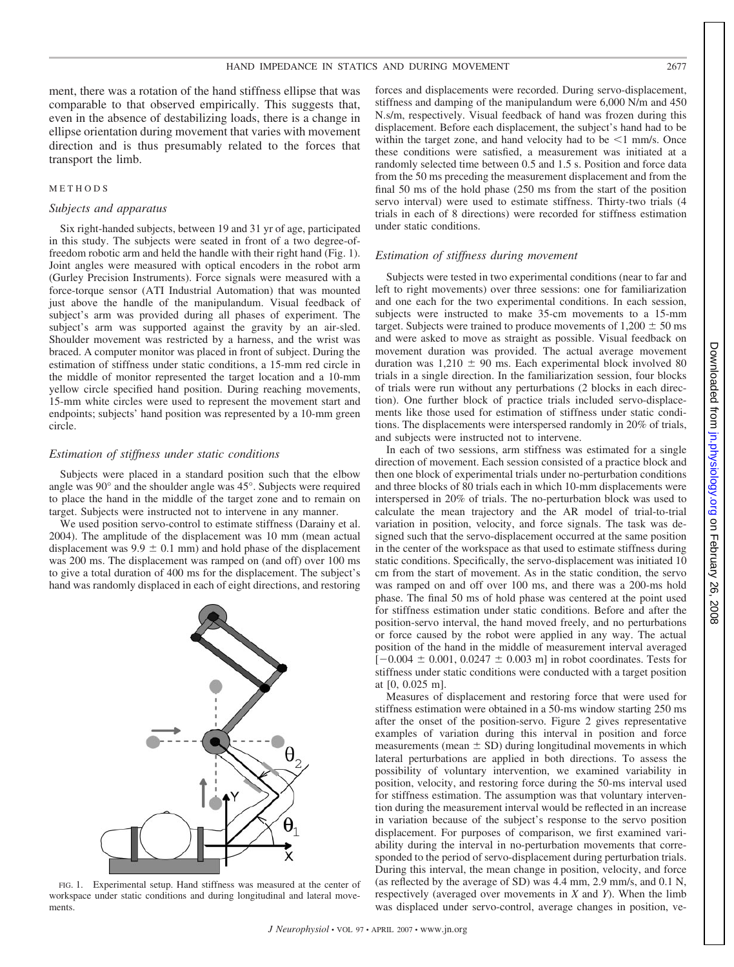ment, there was a rotation of the hand stiffness ellipse that was comparable to that observed empirically. This suggests that, even in the absence of destabilizing loads, there is a change in ellipse orientation during movement that varies with movement direction and is thus presumably related to the forces that transport the limb.

# **METHODS**

### *Subjects and apparatus*

Six right-handed subjects, between 19 and 31 yr of age, participated in this study. The subjects were seated in front of a two degree-offreedom robotic arm and held the handle with their right hand (Fig. 1). Joint angles were measured with optical encoders in the robot arm (Gurley Precision Instruments). Force signals were measured with a force-torque sensor (ATI Industrial Automation) that was mounted just above the handle of the manipulandum. Visual feedback of subject's arm was provided during all phases of experiment. The subject's arm was supported against the gravity by an air-sled. Shoulder movement was restricted by a harness, and the wrist was braced. A computer monitor was placed in front of subject. During the estimation of stiffness under static conditions, a 15-mm red circle in the middle of monitor represented the target location and a 10-mm yellow circle specified hand position. During reaching movements, 15-mm white circles were used to represent the movement start and endpoints; subjects' hand position was represented by a 10-mm green circle.

#### *Estimation of stiffness under static conditions*

Subjects were placed in a standard position such that the elbow angle was 90° and the shoulder angle was 45°. Subjects were required to place the hand in the middle of the target zone and to remain on target. Subjects were instructed not to intervene in any manner.

We used position servo-control to estimate stiffness (Darainy et al. 2004). The amplitude of the displacement was 10 mm (mean actual displacement was  $9.9 \pm 0.1$  mm) and hold phase of the displacement was 200 ms. The displacement was ramped on (and off) over 100 ms to give a total duration of 400 ms for the displacement. The subject's hand was randomly displaced in each of eight directions, and restoring



FIG. 1. Experimental setup. Hand stiffness was measured at the center of workspace under static conditions and during longitudinal and lateral movements.

forces and displacements were recorded. During servo-displacement, stiffness and damping of the manipulandum were 6,000 N/m and 450 N.s/m, respectively. Visual feedback of hand was frozen during this displacement. Before each displacement, the subject's hand had to be within the target zone, and hand velocity had to be  $\leq 1$  mm/s. Once these conditions were satisfied, a measurement was initiated at a randomly selected time between 0.5 and 1.5 s. Position and force data from the 50 ms preceding the measurement displacement and from the final 50 ms of the hold phase (250 ms from the start of the position servo interval) were used to estimate stiffness. Thirty-two trials (4 trials in each of 8 directions) were recorded for stiffness estimation under static conditions.

# *Estimation of stiffness during movement*

Subjects were tested in two experimental conditions (near to far and left to right movements) over three sessions: one for familiarization and one each for the two experimental conditions. In each session, subjects were instructed to make 35-cm movements to a 15-mm target. Subjects were trained to produce movements of  $1,200 \pm 50$  ms and were asked to move as straight as possible. Visual feedback on movement duration was provided. The actual average movement duration was  $1,210 \pm 90$  ms. Each experimental block involved 80 trials in a single direction. In the familiarization session, four blocks of trials were run without any perturbations (2 blocks in each direction). One further block of practice trials included servo-displacements like those used for estimation of stiffness under static conditions. The displacements were interspersed randomly in 20% of trials, and subjects were instructed not to intervene.

In each of two sessions, arm stiffness was estimated for a single direction of movement. Each session consisted of a practice block and then one block of experimental trials under no-perturbation conditions and three blocks of 80 trials each in which 10-mm displacements were interspersed in 20% of trials. The no-perturbation block was used to calculate the mean trajectory and the AR model of trial-to-trial variation in position, velocity, and force signals. The task was designed such that the servo-displacement occurred at the same position in the center of the workspace as that used to estimate stiffness during static conditions. Specifically, the servo-displacement was initiated 10 cm from the start of movement. As in the static condition, the servo was ramped on and off over 100 ms, and there was a 200-ms hold phase. The final 50 ms of hold phase was centered at the point used for stiffness estimation under static conditions. Before and after the position-servo interval, the hand moved freely, and no perturbations or force caused by the robot were applied in any way. The actual position of the hand in the middle of measurement interval averaged  $[-0.004 \pm 0.001, 0.0247 \pm 0.003 \text{ m}]$  in robot coordinates. Tests for stiffness under static conditions were conducted with a target position at [0, 0.025 m].

Measures of displacement and restoring force that were used for stiffness estimation were obtained in a 50-ms window starting 250 ms after the onset of the position-servo. Figure 2 gives representative examples of variation during this interval in position and force measurements (mean  $\pm$  SD) during longitudinal movements in which lateral perturbations are applied in both directions. To assess the possibility of voluntary intervention, we examined variability in position, velocity, and restoring force during the 50-ms interval used for stiffness estimation. The assumption was that voluntary intervention during the measurement interval would be reflected in an increase in variation because of the subject's response to the servo position displacement. For purposes of comparison, we first examined variability during the interval in no-perturbation movements that corresponded to the period of servo-displacement during perturbation trials. During this interval, the mean change in position, velocity, and force (as reflected by the average of SD) was 4.4 mm, 2.9 mm/s, and 0.1 N, respectively (averaged over movements in *X* and *Y*). When the limb was displaced under servo-control, average changes in position, ve-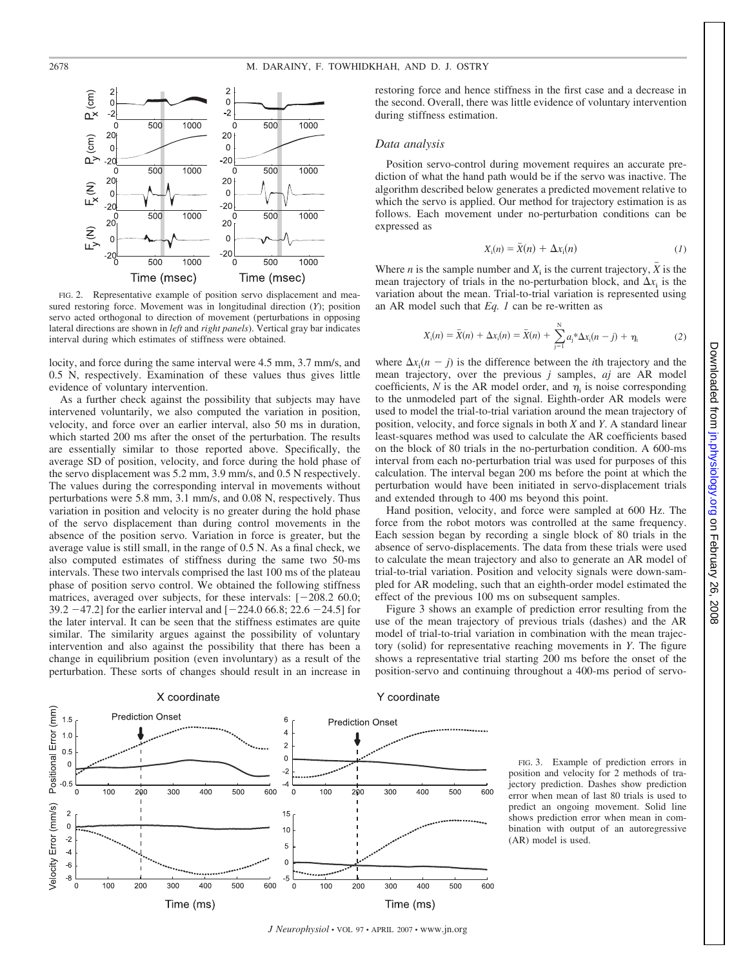

FIG. 2. Representative example of position servo displacement and measured restoring force. Movement was in longitudinal direction (*Y*); position servo acted orthogonal to direction of movement (perturbations in opposing lateral directions are shown in *left* and *right panels*). Vertical gray bar indicates interval during which estimates of stiffness were obtained.

locity, and force during the same interval were 4.5 mm, 3.7 mm/s, and 0.5 N, respectively. Examination of these values thus gives little evidence of voluntary intervention.

As a further check against the possibility that subjects may have intervened voluntarily, we also computed the variation in position, velocity, and force over an earlier interval, also 50 ms in duration, which started 200 ms after the onset of the perturbation. The results are essentially similar to those reported above. Specifically, the average SD of position, velocity, and force during the hold phase of the servo displacement was 5.2 mm, 3.9 mm/s, and 0.5 N respectively. The values during the corresponding interval in movements without perturbations were 5.8 mm, 3.1 mm/s, and 0.08 N, respectively. Thus variation in position and velocity is no greater during the hold phase of the servo displacement than during control movements in the absence of the position servo. Variation in force is greater, but the average value is still small, in the range of 0.5 N. As a final check, we also computed estimates of stiffness during the same two 50-ms intervals. These two intervals comprised the last 100 ms of the plateau phase of position servo control. We obtained the following stiffness matrices, averaged over subjects, for these intervals:  $[-208.2\,60.0;$ 39.2  $-47.2$ ] for the earlier interval and  $[-224.0 66.8; 22.6 - 24.5]$  for the later interval. It can be seen that the stiffness estimates are quite similar. The similarity argues against the possibility of voluntary intervention and also against the possibility that there has been a change in equilibrium position (even involuntary) as a result of the perturbation. These sorts of changes should result in an increase in

restoring force and hence stiffness in the first case and a decrease in the second. Overall, there was little evidence of voluntary intervention during stiffness estimation.

#### *Data analysis*

Position servo-control during movement requires an accurate prediction of what the hand path would be if the servo was inactive. The algorithm described below generates a predicted movement relative to which the servo is applied. Our method for trajectory estimation is as follows. Each movement under no-perturbation conditions can be expressed as

$$
X_i(n) = \bar{X}(n) + \Delta x_i(n) \tag{1}
$$

Where *n* is the sample number and  $X_i$  is the current trajectory,  $X$  is the mean trajectory of trials in the no-perturbation block, and  $\Delta x_i$  is the variation about the mean. Trial-to-trial variation is represented using an AR model such that *Eq. 1* can be re-written as

$$
X_{i}(n) = \bar{X}(n) + \Delta x_{i}(n) = \bar{X}(n) + \sum_{j=1}^{N} a_{j}^{*} \Delta x_{i}(n-j) + \eta_{i}
$$
 (2)

where  $\Delta x_i$  ( $n - j$ ) is the difference between the *i*th trajectory and the mean trajectory, over the previous *j* samples, *aj* are AR model coefficients, N is the AR model order, and  $\eta_i$  is noise corresponding to the unmodeled part of the signal. Eighth-order AR models were used to model the trial-to-trial variation around the mean trajectory of position, velocity, and force signals in both *X* and *Y*. A standard linear least-squares method was used to calculate the AR coefficients based on the block of 80 trials in the no-perturbation condition. A 600-ms interval from each no-perturbation trial was used for purposes of this calculation. The interval began 200 ms before the point at which the perturbation would have been initiated in servo-displacement trials and extended through to 400 ms beyond this point.

Hand position, velocity, and force were sampled at 600 Hz. The force from the robot motors was controlled at the same frequency. Each session began by recording a single block of 80 trials in the absence of servo-displacements. The data from these trials were used to calculate the mean trajectory and also to generate an AR model of trial-to-trial variation. Position and velocity signals were down-sampled for AR modeling, such that an eighth-order model estimated the effect of the previous 100 ms on subsequent samples.

Figure 3 shows an example of prediction error resulting from the use of the mean trajectory of previous trials (dashes) and the AR model of trial-to-trial variation in combination with the mean trajectory (solid) for representative reaching movements in *Y*. The figure shows a representative trial starting 200 ms before the onset of the position-servo and continuing throughout a 400-ms period of servo-



#### FIG. 3. Example of prediction errors in position and velocity for 2 methods of trajectory prediction. Dashes show prediction error when mean of last 80 trials is used to predict an ongoing movement. Solid line shows prediction error when mean in combination with output of an autoregressive (AR) model is used.

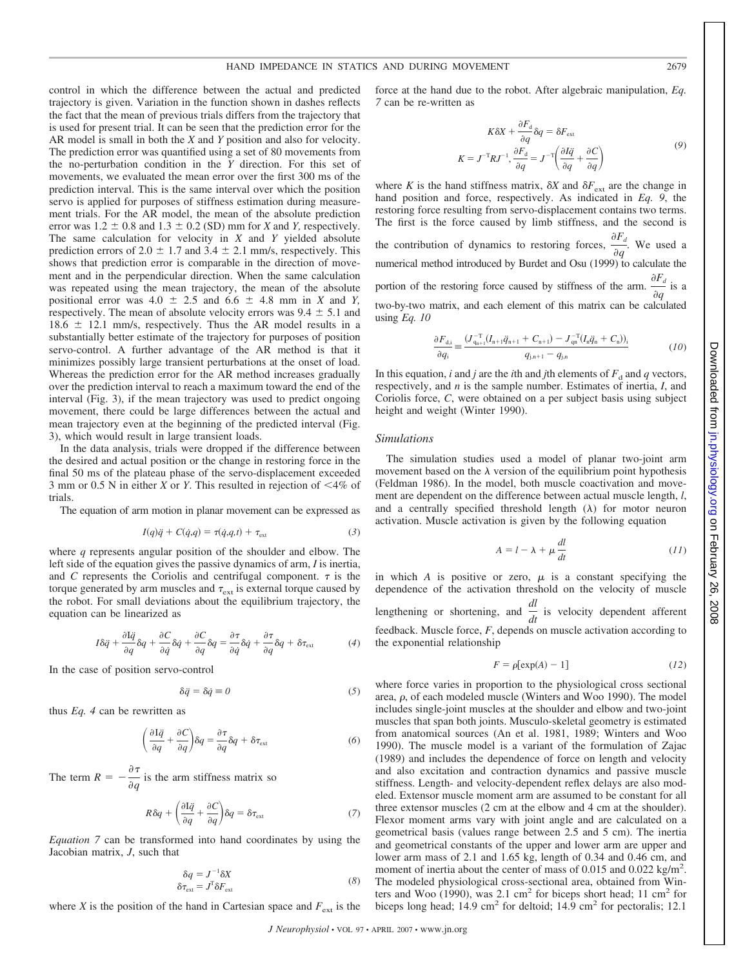control in which the difference between the actual and predicted trajectory is given. Variation in the function shown in dashes reflects the fact that the mean of previous trials differs from the trajectory that is used for present trial. It can be seen that the prediction error for the AR model is small in both the *X* and *Y* position and also for velocity. The prediction error was quantified using a set of 80 movements from the no-perturbation condition in the *Y* direction. For this set of movements, we evaluated the mean error over the first 300 ms of the prediction interval. This is the same interval over which the position servo is applied for purposes of stiffness estimation during measurement trials. For the AR model, the mean of the absolute prediction error was  $1.2 \pm 0.8$  and  $1.3 \pm 0.2$  (SD) mm for *X* and *Y*, respectively. The same calculation for velocity in *X* and *Y* yielded absolute prediction errors of 2.0  $\pm$  1.7 and 3.4  $\pm$  2.1 mm/s, respectively. This shows that prediction error is comparable in the direction of movement and in the perpendicular direction. When the same calculation was repeated using the mean trajectory, the mean of the absolute positional error was  $4.0 \pm 2.5$  and  $6.6 \pm 4.8$  mm in *X* and *Y*, respectively. The mean of absolute velocity errors was  $9.4 \pm 5.1$  and  $18.6 \pm 12.1$  mm/s, respectively. Thus the AR model results in a substantially better estimate of the trajectory for purposes of position servo-control. A further advantage of the AR method is that it minimizes possibly large transient perturbations at the onset of load. Whereas the prediction error for the AR method increases gradually over the prediction interval to reach a maximum toward the end of the interval (Fig. 3), if the mean trajectory was used to predict ongoing movement, there could be large differences between the actual and mean trajectory even at the beginning of the predicted interval (Fig. 3), which would result in large transient loads.

In the data analysis, trials were dropped if the difference between the desired and actual position or the change in restoring force in the final 50 ms of the plateau phase of the servo-displacement exceeded 3 mm or 0.5 N in either *X* or *Y*. This resulted in rejection of  $\leq 4\%$  of trials.

The equation of arm motion in planar movement can be expressed as

$$
I(q)\ddot{q} + C(\dot{q},q) = \tau(\dot{q},q,t) + \tau_{\text{ext}} \tag{3}
$$

where *q* represents angular position of the shoulder and elbow. The left side of the equation gives the passive dynamics of arm, *I* is inertia, and *C* represents the Coriolis and centrifugal component.  $\tau$  is the torque generated by arm muscles and  $\tau_{ext}$  is external torque caused by the robot. For small deviations about the equilibrium trajectory, the equation can be linearized as

$$
I\delta \ddot{q} + \frac{\partial I\ddot{q}}{\partial q}\delta q + \frac{\partial C}{\partial \dot{q}}\delta \dot{q} + \frac{\partial C}{\partial q}\delta q = \frac{\partial \tau}{\partial \dot{q}}\delta \dot{q} + \frac{\partial \tau}{\partial q}\delta q + \delta \tau_{\text{ext}} \tag{4}
$$

In the case of position servo-control

$$
\delta \ddot{q} = \delta \dot{q} \equiv 0 \tag{5}
$$

thus *Eq. 4* can be rewritten as

$$
\left(\frac{\partial \mathcal{I}\ddot{q}}{\partial q} + \frac{\partial C}{\partial q}\right)\delta q = \frac{\partial \tau}{\partial q}\delta q + \delta \tau_{\text{ext}}\tag{6}
$$

The term  $R = -\frac{\partial \tau}{\partial q}$  is the arm stiffness matrix so

$$
R\delta q + \left(\frac{\partial \mathrm{I}\ddot{q}}{\partial q} + \frac{\partial C}{\partial q}\right)\delta q = \delta \tau_{\text{ext}} \tag{7}
$$

*Equation 7* can be transformed into hand coordinates by using the Jacobian matrix, *J*, such that

$$
\delta q = J^{-1} \delta X
$$
  

$$
\delta \tau_{\text{ext}} = J^{\text{T}} \delta F_{\text{ext}}
$$
 (8)

where *X* is the position of the hand in Cartesian space and  $F_{\text{ext}}$  is the

force at the hand due to the robot. After algebraic manipulation, *Eq. 7* can be re-written as

$$
K\delta X + \frac{\partial F_{\rm d}}{\partial q}\delta q = \delta F_{\rm ext}
$$
  

$$
K = J^{-T}RJ^{-1}, \frac{\partial F_{\rm d}}{\partial q} = J^{-T}\left(\frac{\partial I\ddot{q}}{\partial q} + \frac{\partial C}{\partial q}\right)
$$
(9)

where *K* is the hand stiffness matrix,  $\delta X$  and  $\delta F_{ext}$  are the change in hand position and force, respectively. As indicated in *Eq. 9*, the restoring force resulting from servo-displacement contains two terms. The first is the force caused by limb stiffness, and the second is the contribution of dynamics to restoring forces,  $\frac{\partial F_d}{\partial x}$  $\frac{a}{\partial q}$ . We used a numerical method introduced by Burdet and Osu (1999) to calculate the portion of the restoring force caused by stiffness of the arm.  $\frac{\partial F_d}{\partial \phi}$  $\frac{a}{\partial q}$  is a two-by-two matrix, and each element of this matrix can be calculated using *Eq. 10*

$$
\frac{\partial F_{\mathrm{d,i}}}{\partial q_{\mathrm{i}}} = \frac{(J_{\mathrm{q}_{\mathrm{n}+1}}^{-T} (I_{\mathrm{n}+1} \ddot{q}_{\mathrm{n}+1} + C_{\mathrm{n}+1}) - J_{\mathrm{q}_{\mathrm{n}}}^{-T} (I_{\mathrm{n}} \ddot{q}_{\mathrm{n}} + C_{\mathrm{n}}))_{\mathrm{i}}}{q_{\mathrm{j,n}+1} - q_{\mathrm{j,n}}}
$$
(10)

In this equation, *i* and *j* are the *i*th and *j*th elements of  $F_d$  and *q* vectors, respectively, and *n* is the sample number. Estimates of inertia, *I*, and Coriolis force, *C*, were obtained on a per subject basis using subject height and weight (Winter 1990).

### *Simulations*

The simulation studies used a model of planar two-joint arm movement based on the  $\lambda$  version of the equilibrium point hypothesis (Feldman 1986). In the model, both muscle coactivation and movement are dependent on the difference between actual muscle length, *l*, and a centrally specified threshold length  $(\lambda)$  for motor neuron activation. Muscle activation is given by the following equation

$$
A = l - \lambda + \mu \frac{dl}{dt} \tag{11}
$$

in which *A* is positive or zero,  $\mu$  is a constant specifying the dependence of the activation threshold on the velocity of muscle lengthening or shortening, and  $\frac{dl}{dt}$  is velocity dependent afferent feedback. Muscle force, *F*, depends on muscle activation according to the exponential relationship

$$
F = \rho[\exp(A) - 1] \tag{12}
$$

where force varies in proportion to the physiological cross sectional area,  $\rho$ , of each modeled muscle (Winters and Woo 1990). The model includes single-joint muscles at the shoulder and elbow and two-joint muscles that span both joints. Musculo-skeletal geometry is estimated from anatomical sources (An et al. 1981, 1989; Winters and Woo 1990). The muscle model is a variant of the formulation of Zajac (1989) and includes the dependence of force on length and velocity and also excitation and contraction dynamics and passive muscle stiffness. Length- and velocity-dependent reflex delays are also modeled. Extensor muscle moment arm are assumed to be constant for all three extensor muscles (2 cm at the elbow and 4 cm at the shoulder). Flexor moment arms vary with joint angle and are calculated on a geometrical basis (values range between 2.5 and 5 cm). The inertia and geometrical constants of the upper and lower arm are upper and lower arm mass of 2.1 and 1.65 kg, length of 0.34 and 0.46 cm, and moment of inertia about the center of mass of 0.015 and 0.022 kg/m<sup>2</sup>. The modeled physiological cross-sectional area, obtained from Winters and Woo (1990), was 2.1 cm<sup>2</sup> for biceps short head; 11 cm<sup>2</sup> for biceps long head; 14.9 cm<sup>2</sup> for deltoid; 14.9 cm<sup>2</sup> for pectoralis; 12.1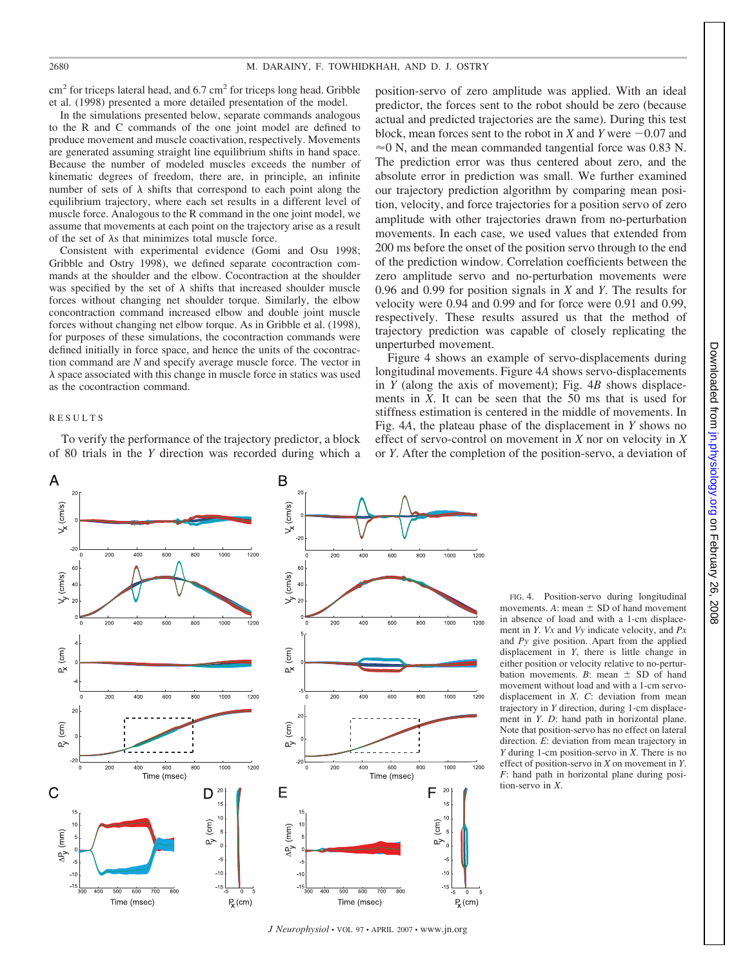$\text{cm}^2$  for triceps lateral head, and 6.7 cm<sup>2</sup> for triceps long head. Gribble et al. (1998) presented a more detailed presentation of the model.

In the simulations presented below, separate commands analogous to the R and C commands of the one joint model are defined to produce movement and muscle coactivation, respectively. Movements are generated assuming straight line equilibrium shifts in hand space. Because the number of modeled muscles exceeds the number of kinematic degrees of freedom, there are, in principle, an infinite number of sets of  $\lambda$  shifts that correspond to each point along the equilibrium trajectory, where each set results in a different level of muscle force. Analogous to the R command in the one joint model, we assume that movements at each point on the trajectory arise as a result of the set of  $\lambda$ s that minimizes total muscle force.

Consistent with experimental evidence (Gomi and Osu 1998; Gribble and Ostry 1998), we defined separate cocontraction commands at the shoulder and the elbow. Cocontraction at the shoulder was specified by the set of  $\lambda$  shifts that increased shoulder muscle forces without changing net shoulder torque. Similarly, the elbow concontraction command increased elbow and double joint muscle forces without changing net elbow torque. As in Gribble et al. (1998), for purposes of these simulations, the cocontraction commands were defined initially in force space, and hence the units of the cocontraction command are *N* and specify average muscle force. The vector in  $\lambda$  space associated with this change in muscle force in statics was used as the cocontraction command.

#### RESULTS

To verify the performance of the trajectory predictor, a block of 80 trials in the *Y* direction was recorded during which a position-servo of zero amplitude was applied. With an ideal predictor, the forces sent to the robot should be zero (because actual and predicted trajectories are the same). During this test block, mean forces sent to the robot in *X* and *Y* were  $-0.07$  and  $\approx$  0 N, and the mean commanded tangential force was 0.83 N. The prediction error was thus centered about zero, and the absolute error in prediction was small. We further examined our trajectory prediction algorithm by comparing mean position, velocity, and force trajectories for a position servo of zero amplitude with other trajectories drawn from no-perturbation movements. In each case, we used values that extended from 200 ms before the onset of the position servo through to the end of the prediction window. Correlation coefficients between the zero amplitude servo and no-perturbation movements were 0.96 and 0.99 for position signals in *X* and *Y*. The results for velocity were 0.94 and 0.99 and for force were 0.91 and 0.99, respectively. These results assured us that the method of trajectory prediction was capable of closely replicating the unperturbed movement.

Figure 4 shows an example of servo-displacements during longitudinal movements. Figure 4*A* shows servo-displacements in *Y* (along the axis of movement); Fig. 4*B* shows displacements in *X*. It can be seen that the 50 ms that is used for stiffness estimation is centered in the middle of movements. In Fig. 4*A*, the plateau phase of the displacement in *Y* shows no effect of servo-control on movement in *X* nor on velocity in *X* or *Y*. After the completion of the position-servo, a deviation of



FIG. 4. Position-servo during longitudinal movements.  $A:$  mean  $\pm$  SD of hand movement in absence of load and with a 1-cm displacement in *Y*. *Vx* and *Vy* indicate velocity, and *Px* and *Py* give position. Apart from the applied displacement in *Y*, there is little change in either position or velocity relative to no-perturbation movements.  $B:$  mean  $\pm$  SD of hand movement without load and with a 1-cm servodisplacement in *X*. *C*: deviation from mean trajectory in *Y* direction, during 1-cm displacement in *Y*. *D*: hand path in horizontal plane. Note that position-servo has no effect on lateral direction. *E*: deviation from mean trajectory in *Y* during 1-cm position-servo in *X*. There is no effect of position-servo in *X* on movement in *Y*. *F*: hand path in horizontal plane during position-servo in *X*.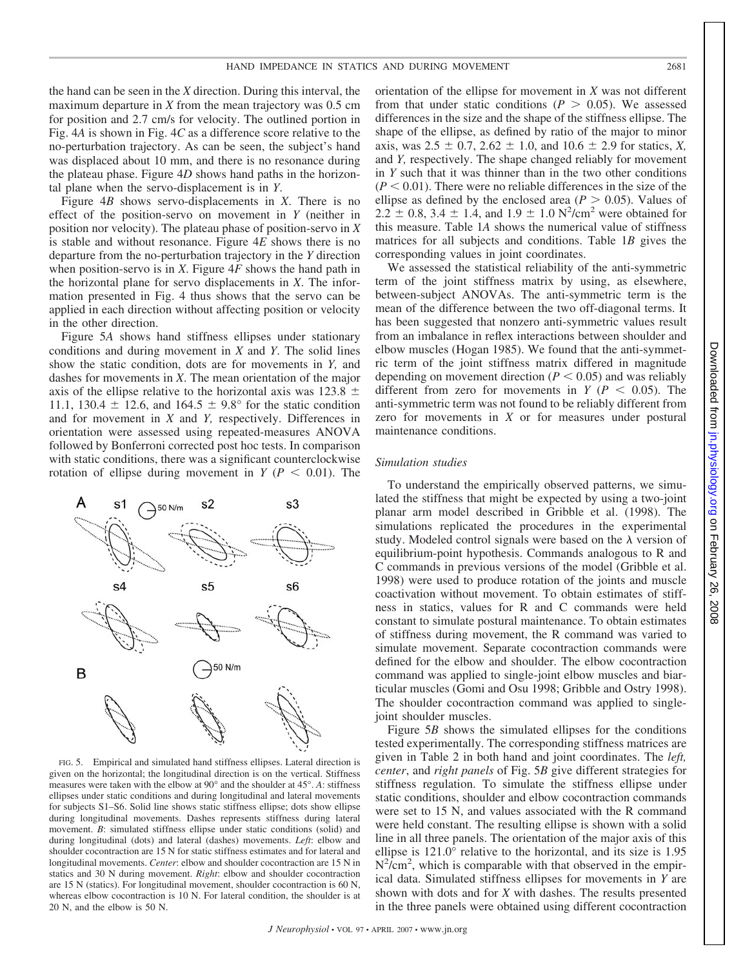the hand can be seen in the *X* direction. During this interval, the maximum departure in *X* from the mean trajectory was 0.5 cm for position and 2.7 cm/s for velocity. The outlined portion in Fig. 4*A* is shown in Fig. 4*C* as a difference score relative to the no-perturbation trajectory. As can be seen, the subject's hand was displaced about 10 mm, and there is no resonance during the plateau phase. Figure 4*D* shows hand paths in the horizontal plane when the servo-displacement is in *Y*.

Figure 4*B* shows servo-displacements in *X*. There is no effect of the position-servo on movement in *Y* (neither in position nor velocity). The plateau phase of position-servo in *X* is stable and without resonance. Figure 4*E* shows there is no departure from the no-perturbation trajectory in the *Y* direction when position-servo is in *X*. Figure 4*F* shows the hand path in the horizontal plane for servo displacements in *X*. The information presented in Fig. 4 thus shows that the servo can be applied in each direction without affecting position or velocity in the other direction.

Figure 5*A* shows hand stiffness ellipses under stationary conditions and during movement in *X* and *Y*. The solid lines show the static condition, dots are for movements in *Y,* and dashes for movements in *X*. The mean orientation of the major axis of the ellipse relative to the horizontal axis was 123.8  $\pm$ 11.1, 130.4  $\pm$  12.6, and 164.5  $\pm$  9.8° for the static condition and for movement in *X* and *Y,* respectively. Differences in orientation were assessed using repeated-measures ANOVA followed by Bonferroni corrected post hoc tests. In comparison with static conditions, there was a significant counterclockwise rotation of ellipse during movement in  $Y (P \le 0.01)$ . The



FIG. 5. Empirical and simulated hand stiffness ellipses. Lateral direction is given on the horizontal; the longitudinal direction is on the vertical. Stiffness measures were taken with the elbow at 90° and the shoulder at 45°. *A*: stiffness ellipses under static conditions and during longitudinal and lateral movements for subjects S1–S6. Solid line shows static stiffness ellipse; dots show ellipse during longitudinal movements. Dashes represents stiffness during lateral movement. *B*: simulated stiffness ellipse under static conditions (solid) and during longitudinal (dots) and lateral (dashes) movements. *Left*: elbow and shoulder cocontraction are 15 N for static stiffness estimates and for lateral and longitudinal movements. *Center*: elbow and shoulder cocontraction are 15 N in statics and 30 N during movement. *Right*: elbow and shoulder cocontraction are 15 N (statics). For longitudinal movement, shoulder cocontraction is 60 N, whereas elbow cocontraction is 10 N. For lateral condition, the shoulder is at 20 N, and the elbow is 50 N.

orientation of the ellipse for movement in *X* was not different from that under static conditions ( $P > 0.05$ ). We assessed differences in the size and the shape of the stiffness ellipse. The shape of the ellipse, as defined by ratio of the major to minor axis, was  $2.5 \pm 0.7$ ,  $2.62 \pm 1.0$ , and  $10.6 \pm 2.9$  for statics, *X*, and *Y,* respectively. The shape changed reliably for movement in *Y* such that it was thinner than in the two other conditions  $(P < 0.01)$ . There were no reliable differences in the size of the ellipse as defined by the enclosed area  $(P > 0.05)$ . Values of  $2.2 \pm 0.8$ ,  $3.4 \pm 1.4$ , and  $1.9 \pm 1.0$  N<sup>2</sup>/cm<sup>2</sup> were obtained for this measure. Table 1*A* shows the numerical value of stiffness matrices for all subjects and conditions. Table 1*B* gives the corresponding values in joint coordinates.

We assessed the statistical reliability of the anti-symmetric term of the joint stiffness matrix by using, as elsewhere, between-subject ANOVAs. The anti-symmetric term is the mean of the difference between the two off-diagonal terms. It has been suggested that nonzero anti-symmetric values result from an imbalance in reflex interactions between shoulder and elbow muscles (Hogan 1985). We found that the anti-symmetric term of the joint stiffness matrix differed in magnitude depending on movement direction  $(P < 0.05)$  and was reliably different from zero for movements in  $Y (P < 0.05)$ . The anti-symmetric term was not found to be reliably different from zero for movements in *X* or for measures under postural maintenance conditions.

#### *Simulation studies*

To understand the empirically observed patterns, we simulated the stiffness that might be expected by using a two-joint planar arm model described in Gribble et al. (1998). The simulations replicated the procedures in the experimental study. Modeled control signals were based on the  $\lambda$  version of equilibrium-point hypothesis. Commands analogous to R and C commands in previous versions of the model (Gribble et al. 1998) were used to produce rotation of the joints and muscle coactivation without movement. To obtain estimates of stiffness in statics, values for R and C commands were held constant to simulate postural maintenance. To obtain estimates of stiffness during movement, the R command was varied to simulate movement. Separate cocontraction commands were defined for the elbow and shoulder. The elbow cocontraction command was applied to single-joint elbow muscles and biarticular muscles (Gomi and Osu 1998; Gribble and Ostry 1998). The shoulder cocontraction command was applied to singlejoint shoulder muscles.

Figure 5*B* shows the simulated ellipses for the conditions tested experimentally. The corresponding stiffness matrices are given in Table 2 in both hand and joint coordinates. The *left, center*, and *right panels* of Fig. 5*B* give different strategies for stiffness regulation. To simulate the stiffness ellipse under static conditions, shoulder and elbow cocontraction commands were set to 15 N, and values associated with the R command were held constant. The resulting ellipse is shown with a solid line in all three panels. The orientation of the major axis of this ellipse is 121.0° relative to the horizontal, and its size is 1.95  $N^2$ /cm<sup>2</sup>, which is comparable with that observed in the empirical data. Simulated stiffness ellipses for movements in *Y* are shown with dots and for *X* with dashes. The results presented in the three panels were obtained using different cocontraction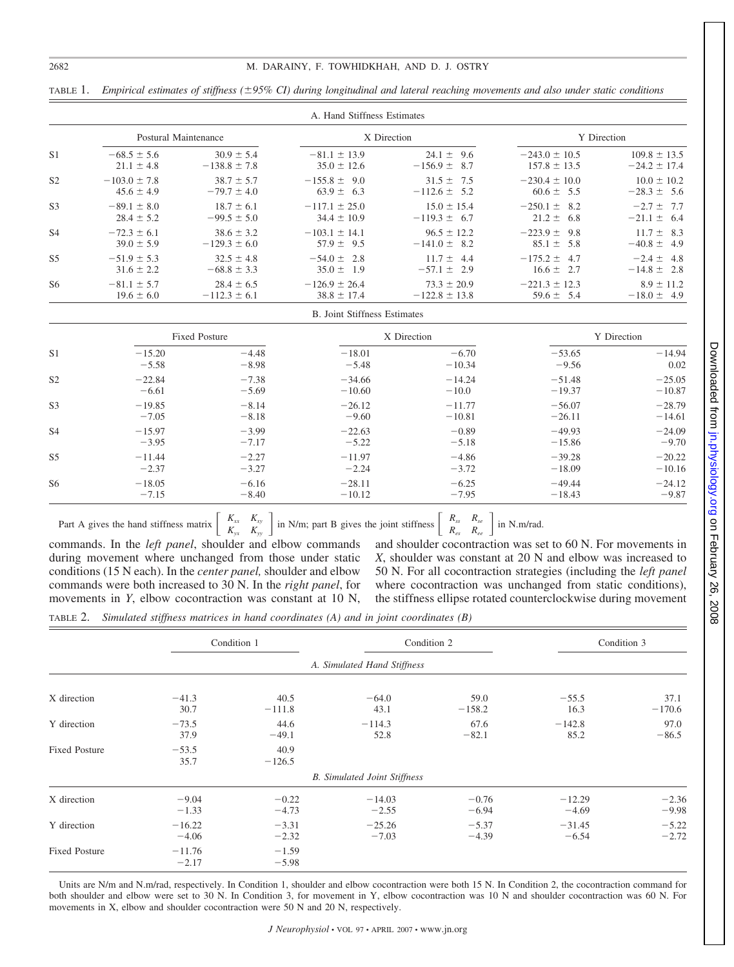# 2682 M. DARAINY, F. TOWHIDKHAH, AND D. J. OSTRY

TABLE 1. *Empirical estimates of stiffness (95% CI) during longitudinal and lateral reaching movements and also under static conditions*

|                | Postural Maintenance |                  | X Direction       |                   | Y Direction       |                  |
|----------------|----------------------|------------------|-------------------|-------------------|-------------------|------------------|
| S1             | $-68.5 \pm 5.6$      | $30.9 \pm 5.4$   | $-81.1 \pm 13.9$  | $24.1 \pm 9.6$    | $-243.0 \pm 10.5$ | $109.8 \pm 13.5$ |
|                | $21.1 \pm 4.8$       | $-138.8 \pm 7.8$ | $35.0 \pm 12.6$   | $-156.9 \pm 8.7$  | $157.8 \pm 13.5$  | $-24.2 \pm 17.4$ |
| S <sub>2</sub> | $-103.0 \pm 7.8$     | $38.7 \pm 5.7$   | $-155.8 \pm 9.0$  | $31.5 \pm 7.5$    | $-230.4 \pm 10.0$ | $10.0 \pm 10.2$  |
|                | $45.6 \pm 4.9$       | $-79.7 \pm 4.0$  | $63.9 \pm 6.3$    | $-112.6 \pm 5.2$  | $60.6 \pm 5.5$    | $-28.3 \pm 5.6$  |
| S <sub>3</sub> | $-89.1 \pm 8.0$      | $18.7 \pm 6.1$   | $-117.1 \pm 25.0$ | $15.0 \pm 15.4$   | $-250.1 \pm 8.2$  | $-2.7 \pm 7.7$   |
|                | $28.4 \pm 5.2$       | $-99.5 \pm 5.0$  | $34.4 \pm 10.9$   | $-119.3 \pm 6.7$  | $21.2 \pm 6.8$    | $-21.1 \pm 6.4$  |
| <b>S4</b>      | $-72.3 \pm 6.1$      | $38.6 \pm 3.2$   | $-103.1 \pm 14.1$ | $96.5 \pm 12.2$   | $-223.9 \pm 9.8$  | $11.7 \pm 8.3$   |
|                | $39.0 \pm 5.9$       | $-129.3 \pm 6.0$ | $57.9 \pm 9.5$    | $-141.0 \pm 8.2$  | $85.1 \pm 5.8$    | $-40.8 \pm 4.9$  |
| <b>S5</b>      | $-51.9 \pm 5.3$      | $32.5 \pm 4.8$   | $-54.0 \pm 2.8$   | $11.7 \pm 4.4$    | $-175.2 \pm 4.7$  | $-2.4 \pm 4.8$   |
|                | $31.6 \pm 2.2$       | $-68.8 \pm 3.3$  | $35.0 \pm 1.9$    | $-57.1 \pm 2.9$   | $16.6 \pm 2.7$    | $-14.8 \pm 2.8$  |
| S6             | $-81.1 \pm 5.7$      | $28.4 \pm 6.5$   | $-126.9 \pm 26.4$ | $73.3 \pm 20.9$   | $-221.3 \pm 12.3$ | $8.9 \pm 11.2$   |
|                | $19.6 \pm 6.0$       | $-112.3 \pm 6.1$ | $38.8 \pm 17.4$   | $-122.8 \pm 13.8$ | $59.6 \pm 5.4$    | $-18.0 \pm 4.9$  |

|                | <b>Fixed Posture</b> |         | X Direction |          | Y Direction |          |
|----------------|----------------------|---------|-------------|----------|-------------|----------|
| S <sub>1</sub> | $-15.20$             | $-4.48$ | $-18.01$    | $-6.70$  | $-53.65$    | $-14.94$ |
|                | $-5.58$              | $-8.98$ | $-5.48$     | $-10.34$ | $-9.56$     | 0.02     |
| S <sub>2</sub> | $-22.84$             | $-7.38$ | $-34.66$    | $-14.24$ | $-51.48$    | $-25.05$ |
|                | $-6.61$              | $-5.69$ | $-10.60$    | $-10.0$  | $-19.37$    | $-10.87$ |
| S <sub>3</sub> | $-19.85$             | $-8.14$ | $-26.12$    | $-11.77$ | $-56.07$    | $-28.79$ |
|                | $-7.05$              | $-8.18$ | $-9.60$     | $-10.81$ | $-26.11$    | $-14.61$ |
| S <sub>4</sub> | $-15.97$             | $-3.99$ | $-22.63$    | $-0.89$  | $-49.93$    | $-24.09$ |
|                | $-3.95$              | $-7.17$ | $-5.22$     | $-5.18$  | $-15.86$    | $-9.70$  |
| S <sub>5</sub> | $-11.44$             | $-2.27$ | $-11.97$    | $-4.86$  | $-39.28$    | $-20.22$ |
|                | $-2.37$              | $-3.27$ | $-2.24$     | $-3.72$  | $-18.09$    | $-10.16$ |
| S <sub>6</sub> | $-18.05$             | $-6.16$ | $-28.11$    | $-6.25$  | $-49.44$    | $-24.12$ |
|                | $-7.15$              | $-8.40$ | $-10.12$    | $-7.95$  | $-18.43$    | $-9.87$  |

Part A gives the hand stiffness matrix  $\begin{bmatrix} K_{xx} & K_{xy} \\ K_{yx} & K_{yy} \end{bmatrix}$  in N/m; part B gives the joint stiffness  $\begin{bmatrix} R_{ss} & R_{se} \\ R_{es} & R_{ee} \end{bmatrix}$  in N.m/rad.

commands. In the *left panel*, shoulder and elbow commands during movement where unchanged from those under static conditions (15 N each). In the *center panel,* shoulder and elbow commands were both increased to 30 N. In the *right panel*, for movements in *Y*, elbow cocontraction was constant at 10 N, and shoulder cocontraction was set to 60 N. For movements in *X*, shoulder was constant at 20 N and elbow was increased to 50 N. For all cocontraction strategies (including the *left panel* where cocontraction was unchanged from static conditions), the stiffness ellipse rotated counterclockwise during movement

TABLE 2. *Simulated stiffness matrices in hand coordinates (A) and in joint coordinates (B)*

|                      | Condition 1         |                    | Condition 2                         |                    | Condition 3         |                    |
|----------------------|---------------------|--------------------|-------------------------------------|--------------------|---------------------|--------------------|
|                      |                     |                    | A. Simulated Hand Stiffness         |                    |                     |                    |
| X direction          | $-41.3$<br>30.7     | 40.5<br>$-111.8$   | $-64.0$<br>43.1                     | 59.0<br>$-158.2$   | $-55.5$<br>16.3     | 37.1<br>$-170.6$   |
| Y direction          | $-73.5$<br>37.9     | 44.6<br>$-49.1$    | $-114.3$<br>52.8                    | 67.6<br>$-82.1$    | $-142.8$<br>85.2    | 97.0<br>$-86.5$    |
| <b>Fixed Posture</b> | $-53.5$<br>35.7     | 40.9<br>$-126.5$   |                                     |                    |                     |                    |
|                      |                     |                    | <b>B.</b> Simulated Joint Stiffness |                    |                     |                    |
| X direction          | $-9.04$<br>$-1.33$  | $-0.22$<br>$-4.73$ | $-14.03$<br>$-2.55$                 | $-0.76$<br>$-6.94$ | $-12.29$<br>$-4.69$ | $-2.36$<br>$-9.98$ |
| Y direction          | $-16.22$<br>$-4.06$ | $-3.31$<br>$-2.32$ | $-25.26$<br>$-7.03$                 | $-5.37$<br>$-4.39$ | $-31.45$<br>$-6.54$ | $-5.22$<br>$-2.72$ |
| <b>Fixed Posture</b> | $-11.76$<br>$-2.17$ | $-1.59$<br>$-5.98$ |                                     |                    |                     |                    |

Units are N/m and N.m/rad, respectively. In Condition 1, shoulder and elbow cocontraction were both 15 N. In Condition 2, the cocontraction command for both shoulder and elbow were set to 30 N. In Condition 3, for movement in Y, elbow cocontraction was 10 N and shoulder cocontraction was 60 N. For movements in X, elbow and shoulder cocontraction were 50 N and 20 N, respectively.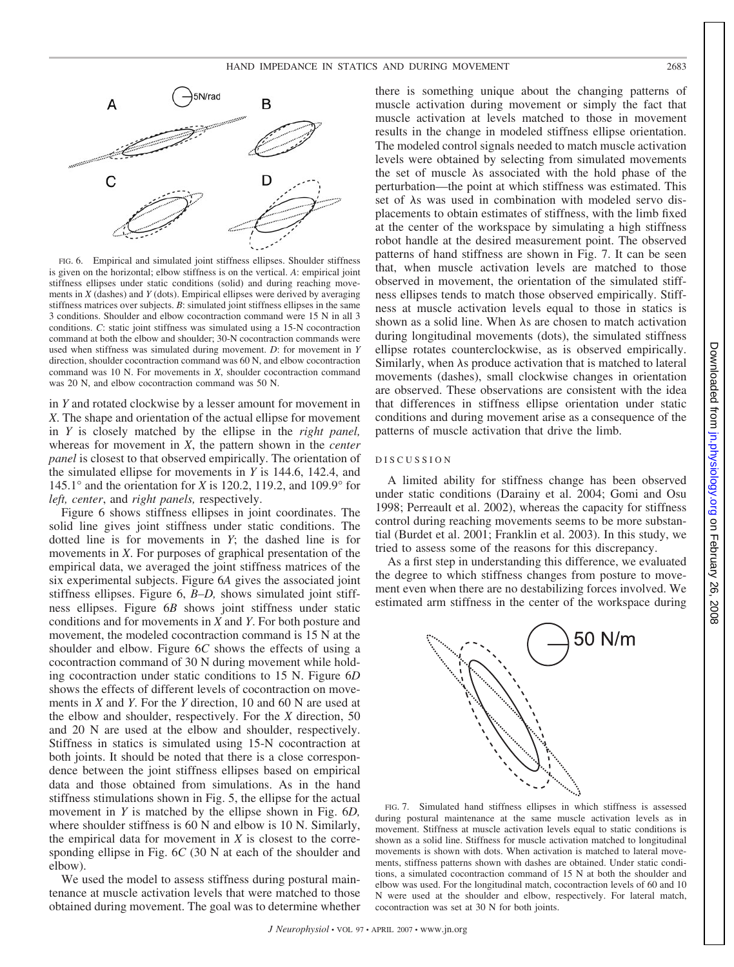

FIG. 6. Empirical and simulated joint stiffness ellipses. Shoulder stiffness is given on the horizontal; elbow stiffness is on the vertical. *A*: empirical joint stiffness ellipses under static conditions (solid) and during reaching movements in *X* (dashes) and *Y* (dots). Empirical ellipses were derived by averaging stiffness matrices over subjects. *B*: simulated joint stiffness ellipses in the same 3 conditions. Shoulder and elbow cocontraction command were 15 N in all 3 conditions. *C*: static joint stiffness was simulated using a 15-N cocontraction command at both the elbow and shoulder; 30-N cocontraction commands were used when stiffness was simulated during movement. *D*: for movement in *Y* direction, shoulder cocontraction command was 60 N, and elbow cocontraction command was 10 N. For movements in *X*, shoulder cocontraction command was 20 N, and elbow cocontraction command was 50 N.

in *Y* and rotated clockwise by a lesser amount for movement in *X*. The shape and orientation of the actual ellipse for movement in *Y* is closely matched by the ellipse in the *right panel,* whereas for movement in *X*, the pattern shown in the *center panel* is closest to that observed empirically. The orientation of the simulated ellipse for movements in *Y* is 144.6, 142.4, and 145.1° and the orientation for *X* is 120.2, 119.2, and 109.9° for *left, center*, and *right panels,* respectively.

Figure 6 shows stiffness ellipses in joint coordinates. The solid line gives joint stiffness under static conditions. The dotted line is for movements in *Y*; the dashed line is for movements in *X*. For purposes of graphical presentation of the empirical data, we averaged the joint stiffness matrices of the six experimental subjects. Figure 6*A* gives the associated joint stiffness ellipses. Figure 6, *B–D,* shows simulated joint stiffness ellipses. Figure 6*B* shows joint stiffness under static conditions and for movements in *X* and *Y*. For both posture and movement, the modeled cocontraction command is 15 N at the shoulder and elbow. Figure 6*C* shows the effects of using a cocontraction command of 30 N during movement while holding cocontraction under static conditions to 15 N. Figure 6*D* shows the effects of different levels of cocontraction on movements in *X* and *Y*. For the *Y* direction, 10 and 60 N are used at the elbow and shoulder, respectively. For the *X* direction, 50 and 20 N are used at the elbow and shoulder, respectively. Stiffness in statics is simulated using 15-N cocontraction at both joints. It should be noted that there is a close correspondence between the joint stiffness ellipses based on empirical data and those obtained from simulations. As in the hand stiffness stimulations shown in Fig. 5, the ellipse for the actual movement in *Y* is matched by the ellipse shown in Fig. 6*D,* where shoulder stiffness is 60 N and elbow is 10 N. Similarly, the empirical data for movement in *X* is closest to the corresponding ellipse in Fig. 6*C* (30 N at each of the shoulder and elbow).

We used the model to assess stiffness during postural maintenance at muscle activation levels that were matched to those obtained during movement. The goal was to determine whether there is something unique about the changing patterns of muscle activation during movement or simply the fact that muscle activation at levels matched to those in movement results in the change in modeled stiffness ellipse orientation. The modeled control signals needed to match muscle activation levels were obtained by selecting from simulated movements the set of muscle  $\lambda$ s associated with the hold phase of the perturbation—the point at which stiffness was estimated. This set of  $\lambda$ s was used in combination with modeled servo displacements to obtain estimates of stiffness, with the limb fixed at the center of the workspace by simulating a high stiffness robot handle at the desired measurement point. The observed patterns of hand stiffness are shown in Fig. 7. It can be seen that, when muscle activation levels are matched to those observed in movement, the orientation of the simulated stiffness ellipses tends to match those observed empirically. Stiffness at muscle activation levels equal to those in statics is shown as a solid line. When  $\lambda$ s are chosen to match activation during longitudinal movements (dots), the simulated stiffness ellipse rotates counterclockwise, as is observed empirically. Similarly, when  $\lambda$ s produce activation that is matched to lateral movements (dashes), small clockwise changes in orientation are observed. These observations are consistent with the idea that differences in stiffness ellipse orientation under static conditions and during movement arise as a consequence of the patterns of muscle activation that drive the limb.

# DISCUSSION

A limited ability for stiffness change has been observed under static conditions (Darainy et al. 2004; Gomi and Osu 1998; Perreault et al. 2002), whereas the capacity for stiffness control during reaching movements seems to be more substantial (Burdet et al. 2001; Franklin et al. 2003). In this study, we tried to assess some of the reasons for this discrepancy.

As a first step in understanding this difference, we evaluated the degree to which stiffness changes from posture to movement even when there are no destabilizing forces involved. We estimated arm stiffness in the center of the workspace during



FIG. 7. Simulated hand stiffness ellipses in which stiffness is assessed during postural maintenance at the same muscle activation levels as in movement. Stiffness at muscle activation levels equal to static conditions is shown as a solid line. Stiffness for muscle activation matched to longitudinal movements is shown with dots. When activation is matched to lateral movements, stiffness patterns shown with dashes are obtained. Under static conditions, a simulated cocontraction command of 15 N at both the shoulder and elbow was used. For the longitudinal match, cocontraction levels of 60 and 10 N were used at the shoulder and elbow, respectively. For lateral match, cocontraction was set at 30 N for both joints.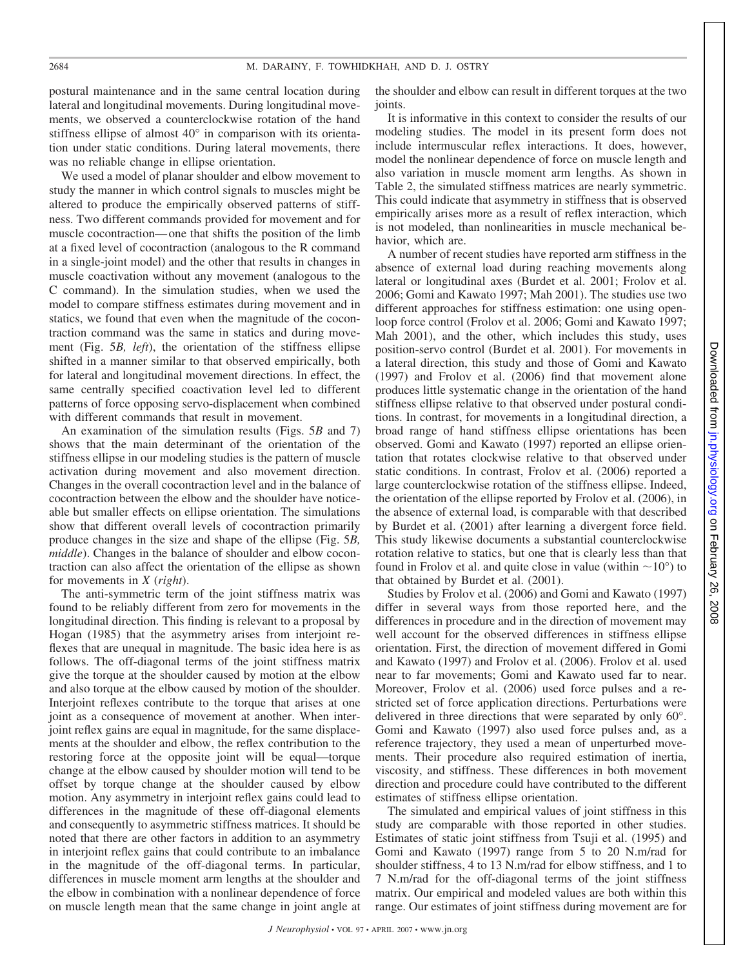postural maintenance and in the same central location during lateral and longitudinal movements. During longitudinal movements, we observed a counterclockwise rotation of the hand stiffness ellipse of almost 40° in comparison with its orientation under static conditions. During lateral movements, there was no reliable change in ellipse orientation.

We used a model of planar shoulder and elbow movement to study the manner in which control signals to muscles might be altered to produce the empirically observed patterns of stiffness. Two different commands provided for movement and for muscle cocontraction— one that shifts the position of the limb at a fixed level of cocontraction (analogous to the R command in a single-joint model) and the other that results in changes in muscle coactivation without any movement (analogous to the C command). In the simulation studies, when we used the model to compare stiffness estimates during movement and in statics, we found that even when the magnitude of the cocontraction command was the same in statics and during movement (Fig. 5*B, left*), the orientation of the stiffness ellipse shifted in a manner similar to that observed empirically, both for lateral and longitudinal movement directions. In effect, the same centrally specified coactivation level led to different patterns of force opposing servo-displacement when combined with different commands that result in movement.

An examination of the simulation results (Figs. 5*B* and 7) shows that the main determinant of the orientation of the stiffness ellipse in our modeling studies is the pattern of muscle activation during movement and also movement direction. Changes in the overall cocontraction level and in the balance of cocontraction between the elbow and the shoulder have noticeable but smaller effects on ellipse orientation. The simulations show that different overall levels of cocontraction primarily produce changes in the size and shape of the ellipse (Fig. 5*B, middle*). Changes in the balance of shoulder and elbow cocontraction can also affect the orientation of the ellipse as shown for movements in *X* (*right*).

The anti-symmetric term of the joint stiffness matrix was found to be reliably different from zero for movements in the longitudinal direction. This finding is relevant to a proposal by Hogan (1985) that the asymmetry arises from interjoint reflexes that are unequal in magnitude. The basic idea here is as follows. The off-diagonal terms of the joint stiffness matrix give the torque at the shoulder caused by motion at the elbow and also torque at the elbow caused by motion of the shoulder. Interjoint reflexes contribute to the torque that arises at one joint as a consequence of movement at another. When interjoint reflex gains are equal in magnitude, for the same displacements at the shoulder and elbow, the reflex contribution to the restoring force at the opposite joint will be equal—torque change at the elbow caused by shoulder motion will tend to be offset by torque change at the shoulder caused by elbow motion. Any asymmetry in interjoint reflex gains could lead to differences in the magnitude of these off-diagonal elements and consequently to asymmetric stiffness matrices. It should be noted that there are other factors in addition to an asymmetry in interjoint reflex gains that could contribute to an imbalance in the magnitude of the off-diagonal terms. In particular, differences in muscle moment arm lengths at the shoulder and the elbow in combination with a nonlinear dependence of force on muscle length mean that the same change in joint angle at the shoulder and elbow can result in different torques at the two joints.

It is informative in this context to consider the results of our modeling studies. The model in its present form does not include intermuscular reflex interactions. It does, however, model the nonlinear dependence of force on muscle length and also variation in muscle moment arm lengths. As shown in Table 2, the simulated stiffness matrices are nearly symmetric. This could indicate that asymmetry in stiffness that is observed empirically arises more as a result of reflex interaction, which is not modeled, than nonlinearities in muscle mechanical behavior, which are.

A number of recent studies have reported arm stiffness in the absence of external load during reaching movements along lateral or longitudinal axes (Burdet et al. 2001; Frolov et al. 2006; Gomi and Kawato 1997; Mah 2001). The studies use two different approaches for stiffness estimation: one using openloop force control (Frolov et al. 2006; Gomi and Kawato 1997; Mah 2001), and the other, which includes this study, uses position-servo control (Burdet et al. 2001). For movements in a lateral direction, this study and those of Gomi and Kawato (1997) and Frolov et al. (2006) find that movement alone produces little systematic change in the orientation of the hand stiffness ellipse relative to that observed under postural conditions. In contrast, for movements in a longitudinal direction, a broad range of hand stiffness ellipse orientations has been observed. Gomi and Kawato (1997) reported an ellipse orientation that rotates clockwise relative to that observed under static conditions. In contrast, Frolov et al. (2006) reported a large counterclockwise rotation of the stiffness ellipse. Indeed, the orientation of the ellipse reported by Frolov et al. (2006), in the absence of external load, is comparable with that described by Burdet et al. (2001) after learning a divergent force field. This study likewise documents a substantial counterclockwise rotation relative to statics, but one that is clearly less than that found in Frolov et al. and quite close in value (within  $\sim 10^{\circ}$ ) to that obtained by Burdet et al. (2001).

Studies by Frolov et al. (2006) and Gomi and Kawato (1997) differ in several ways from those reported here, and the differences in procedure and in the direction of movement may well account for the observed differences in stiffness ellipse orientation. First, the direction of movement differed in Gomi and Kawato (1997) and Frolov et al. (2006). Frolov et al. used near to far movements; Gomi and Kawato used far to near. Moreover, Frolov et al. (2006) used force pulses and a restricted set of force application directions. Perturbations were delivered in three directions that were separated by only 60°. Gomi and Kawato (1997) also used force pulses and, as a reference trajectory, they used a mean of unperturbed movements. Their procedure also required estimation of inertia, viscosity, and stiffness. These differences in both movement direction and procedure could have contributed to the different estimates of stiffness ellipse orientation.

The simulated and empirical values of joint stiffness in this study are comparable with those reported in other studies. Estimates of static joint stiffness from Tsuji et al. (1995) and Gomi and Kawato (1997) range from 5 to 20 N.m/rad for shoulder stiffness, 4 to 13 N.m/rad for elbow stiffness, and 1 to 7 N.m/rad for the off-diagonal terms of the joint stiffness matrix. Our empirical and modeled values are both within this range. Our estimates of joint stiffness during movement are for